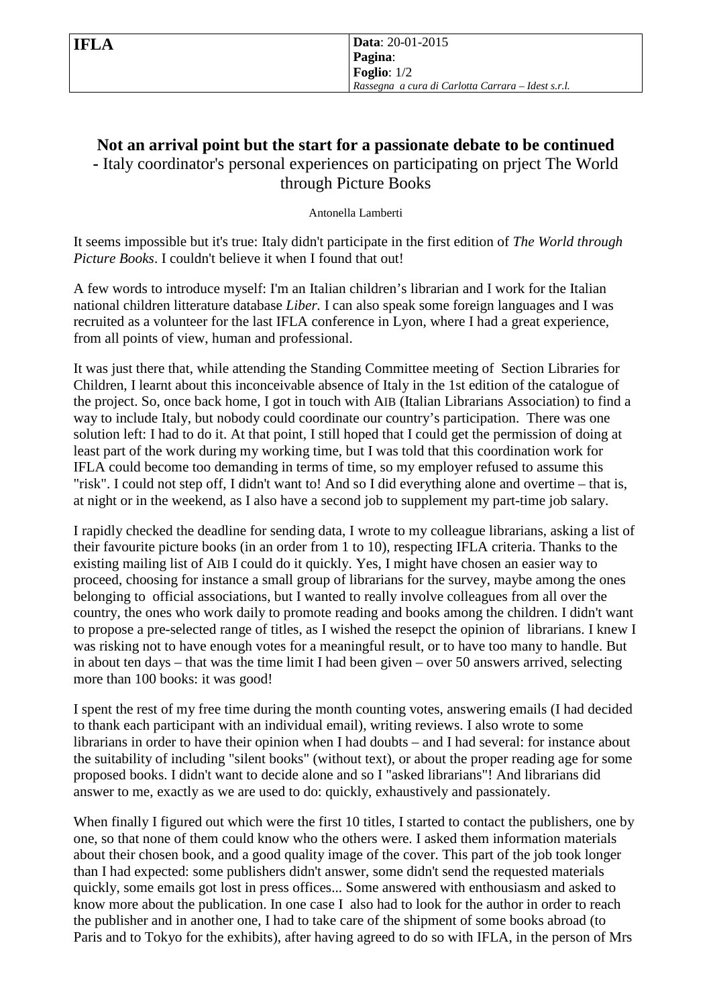**IFLA Data**: 20-01-2015 **Pagina**: **Foglio**: 1/2 *Rassegna a cura di Carlotta Carrara – Idest s.r.l.*

## **Not an arrival point but the start for a passionate debate to be continued -** Italy coordinator's personal experiences on participating on prject The World through Picture Books

Antonella Lamberti

It seems impossible but it's true: Italy didn't participate in the first edition of *The World through Picture Books*. I couldn't believe it when I found that out!

A few words to introduce myself: I'm an Italian children's librarian and I work for the Italian national children litterature database *Liber.* I can also speak some foreign languages and I was recruited as a volunteer for the last IFLA conference in Lyon, where I had a great experience, from all points of view, human and professional.

It was just there that, while attending the Standing Committee meeting of Section Libraries for Children, I learnt about this inconceivable absence of Italy in the 1st edition of the catalogue of the project. So, once back home, I got in touch with AIB (Italian Librarians Association) to find a way to include Italy, but nobody could coordinate our country's participation. There was one solution left: I had to do it. At that point, I still hoped that I could get the permission of doing at least part of the work during my working time, but I was told that this coordination work for IFLA could become too demanding in terms of time, so my employer refused to assume this "risk". I could not step off, I didn't want to! And so I did everything alone and overtime – that is, at night or in the weekend, as I also have a second job to supplement my part-time job salary.

I rapidly checked the deadline for sending data, I wrote to my colleague librarians, asking a list of their favourite picture books (in an order from 1 to 10), respecting IFLA criteria. Thanks to the existing mailing list of AIB I could do it quickly. Yes, I might have chosen an easier way to proceed, choosing for instance a small group of librarians for the survey, maybe among the ones belonging to official associations, but I wanted to really involve colleagues from all over the country, the ones who work daily to promote reading and books among the children. I didn't want to propose a pre-selected range of titles, as I wished the resepct the opinion of librarians. I knew I was risking not to have enough votes for a meaningful result, or to have too many to handle. But in about ten days – that was the time limit I had been given – over 50 answers arrived, selecting more than 100 books: it was good!

I spent the rest of my free time during the month counting votes, answering emails (I had decided to thank each participant with an individual email), writing reviews. I also wrote to some librarians in order to have their opinion when I had doubts – and I had several: for instance about the suitability of including "silent books" (without text), or about the proper reading age for some proposed books. I didn't want to decide alone and so I "asked librarians"! And librarians did answer to me, exactly as we are used to do: quickly, exhaustively and passionately.

When finally I figured out which were the first 10 titles, I started to contact the publishers, one by one, so that none of them could know who the others were. I asked them information materials about their chosen book, and a good quality image of the cover. This part of the job took longer than I had expected: some publishers didn't answer, some didn't send the requested materials quickly, some emails got lost in press offices... Some answered with enthousiasm and asked to know more about the publication. In one case I also had to look for the author in order to reach the publisher and in another one, I had to take care of the shipment of some books abroad (to Paris and to Tokyo for the exhibits), after having agreed to do so with IFLA, in the person of Mrs